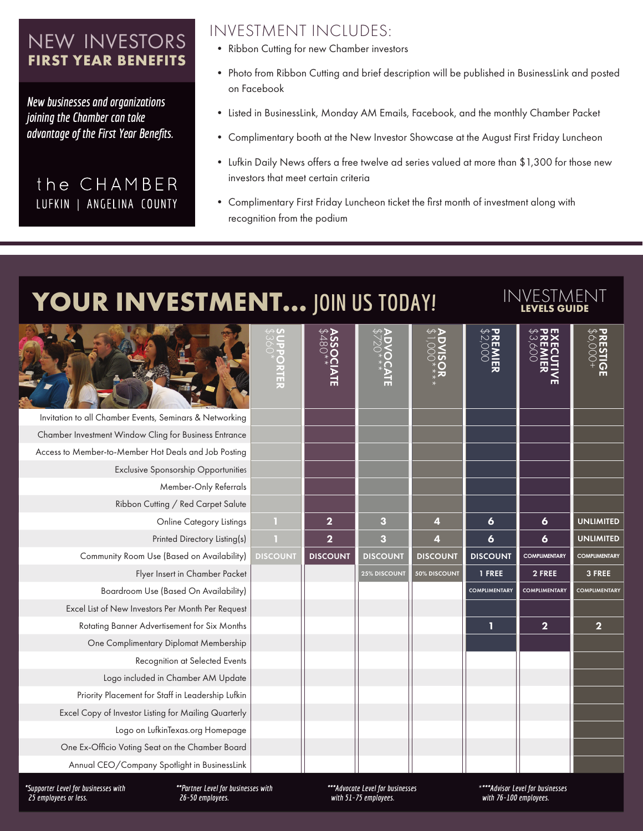### NEW INVESTORS **FIRST YEAR BENEFITS**

*New businesses and organizations joining the Chamber can take advantage of the First Year Benefits.*

#### the CHAMBER LUFKIN | ANGELINA COUNTY

- INVESTMENT INCLUDES:
- Ribbon Cutting for new Chamber investors
- Photo from Ribbon Cutting and brief description will be published in BusinessLink and posted on Facebook
- Listed in BusinessLink, Monday AM Emails, Facebook, and the monthly Chamber Packet
- Complimentary booth at the New Investor Showcase at the August First Friday Luncheon
- Lufkin Daily News offers a free twelve ad series valued at more than \$1,300 for those new investors that meet certain criteria
- Complimentary First Friday Luncheon ticket the first month of investment along with recognition from the podium

## **YOUR INVESTMENT...** JOIN US TODAY! INVESTMENT

|                                                         | PPORTER         | <b>ASSO<sup>+</sup></b><br>NTE | VOCATE              | $\begin{array}{c}\n\mathbf{ADWISO} \\ \mathbf{ADWSO}\n\end{array}$ | PREMIER<br>PREMIER   | EXRE<br>NRK<br>⋚        | <b>PRESTIGE<br/>PRESTIGE</b> |
|---------------------------------------------------------|-----------------|--------------------------------|---------------------|--------------------------------------------------------------------|----------------------|-------------------------|------------------------------|
| Invitation to all Chamber Events, Seminars & Networking |                 |                                |                     |                                                                    |                      |                         |                              |
| Chamber Investment Window Cling for Business Entrance   |                 |                                |                     |                                                                    |                      |                         |                              |
| Access to Member-to-Member Hot Deals and Job Posting    |                 |                                |                     |                                                                    |                      |                         |                              |
| <b>Exclusive Sponsorship Opportunities</b>              |                 |                                |                     |                                                                    |                      |                         |                              |
| Member-Only Referrals                                   |                 |                                |                     |                                                                    |                      |                         |                              |
| Ribbon Cutting / Red Carpet Salute                      |                 |                                |                     |                                                                    |                      |                         |                              |
| Online Category Listings                                | $\mathbbm{1}$   | $\overline{2}$                 | 3                   | 4                                                                  | 6                    | 6                       | <b>UNLIMITED</b>             |
| Printed Directory Listing(s)                            | п               | $\overline{\mathbf{2}}$        | $\mathbf{3}$        | 4                                                                  | $\boldsymbol{6}$     | 6                       | <b>UNLIMITED</b>             |
| Community Room Use (Based on Availability)              | <b>DISCOUNT</b> | <b>DISCOUNT</b>                | <b>DISCOUNT</b>     | <b>DISCOUNT</b>                                                    | <b>DISCOUNT</b>      | <b>COMPLIMENTARY</b>    | <b>COMPLIMENTARY</b>         |
| Flyer Insert in Chamber Packet                          |                 |                                | <b>25% DISCOUNT</b> | 50% DISCOUNT                                                       | 1 FREE               | 2 FREE                  | 3 FREE                       |
| Boardroom Use (Based On Availability)                   |                 |                                |                     |                                                                    | <b>COMPLIMENTARY</b> | <b>COMPLIMENTARY</b>    | <b>COMPLIMENTARY</b>         |
| Excel List of New Investors Per Month Per Request       |                 |                                |                     |                                                                    |                      |                         |                              |
| Rotating Banner Advertisement for Six Months            |                 |                                |                     |                                                                    | 1                    | $\overline{\mathbf{2}}$ | $\overline{\mathbf{2}}$      |
| One Complimentary Diplomat Membership                   |                 |                                |                     |                                                                    |                      |                         |                              |
| Recognition at Selected Events                          |                 |                                |                     |                                                                    |                      |                         |                              |
| Logo included in Chamber AM Update                      |                 |                                |                     |                                                                    |                      |                         |                              |
| Priority Placement for Staff in Leadership Lufkin       |                 |                                |                     |                                                                    |                      |                         |                              |
| Excel Copy of Investor Listing for Mailing Quarterly    |                 |                                |                     |                                                                    |                      |                         |                              |
| Logo on LufkinTexas.org Homepage                        |                 |                                |                     |                                                                    |                      |                         |                              |
| One Ex-Officio Voting Seat on the Chamber Board         |                 |                                |                     |                                                                    |                      |                         |                              |
| Annual CEO/Company Spotlight in BusinessLink            |                 |                                |                     |                                                                    |                      |                         |                              |

*\*Supporter Level for businesses with 25 employees or less.*

*\*\*Partner Level for businesses with 26-50 employees.*

*\*\*\*Advocate Level for businesses with 51-75 employees.*

*\*\*\*\*Advisor Level for businesses with 76-100 employees.*

**LEVELS GUIDE**